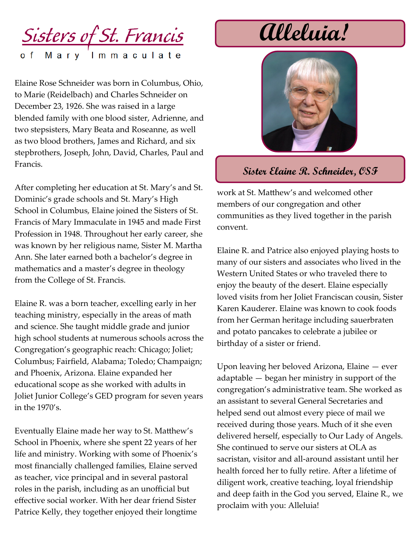

Elaine Rose Schneider was born in Columbus, Ohio, to Marie (Reidelbach) and Charles Schneider on December 23, 1926. She was raised in a large blended family with one blood sister, Adrienne, and two stepsisters, Mary Beata and Roseanne, as well as two blood brothers, James and Richard, and six stepbrothers, Joseph, John, David, Charles, Paul and Francis.

After completing her education at St. Mary's and St. Dominic's grade schools and St. Mary's High School in Columbus, Elaine joined the Sisters of St. Francis of Mary Immaculate in 1945 and made First Profession in 1948. Throughout her early career, she was known by her religious name, Sister M. Martha Ann. She later earned both a bachelor's degree in mathematics and a master's degree in theology from the College of St. Francis.

Elaine R. was a born teacher, excelling early in her teaching ministry, especially in the areas of math and science. She taught middle grade and junior high school students at numerous schools across the Congregation's geographic reach: Chicago; Joliet; Columbus; Fairfield, Alabama; Toledo; Champaign; and Phoenix, Arizona. Elaine expanded her educational scope as she worked with adults in Joliet Junior College's GED program for seven years in the 1970's.

Eventually Elaine made her way to St. Matthew's School in Phoenix, where she spent 22 years of her life and ministry. Working with some of Phoenix's most financially challenged families, Elaine served as teacher, vice principal and in several pastoral roles in the parish, including as an unofficial but effective social worker. With her dear friend Sister Patrice Kelly, they together enjoyed their longtime

## **Alleluia!**



## **Sister Elaine R. Schneider, OSF**

work at St. Matthew's and welcomed other members of our congregation and other communities as they lived together in the parish convent.

Elaine R. and Patrice also enjoyed playing hosts to many of our sisters and associates who lived in the Western United States or who traveled there to enjoy the beauty of the desert. Elaine especially loved visits from her Joliet Franciscan cousin, Sister Karen Kauderer. Elaine was known to cook foods from her German heritage including sauerbraten and potato pancakes to celebrate a jubilee or birthday of a sister or friend.

Upon leaving her beloved Arizona, Elaine — ever adaptable — began her ministry in support of the congregation's administrative team. She worked as an assistant to several General Secretaries and helped send out almost every piece of mail we received during those years. Much of it she even delivered herself, especially to Our Lady of Angels. She continued to serve our sisters at OLA as sacristan, visitor and all-around assistant until her health forced her to fully retire. After a lifetime of diligent work, creative teaching, loyal friendship and deep faith in the God you served, Elaine R., we proclaim with you: Alleluia!